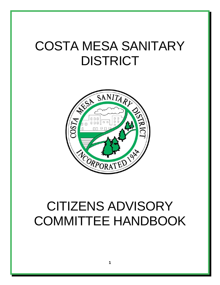# COSTA MESA SANITARY DISTRICT



# CITIZENS ADVISORY COMMITTEE HANDBOOK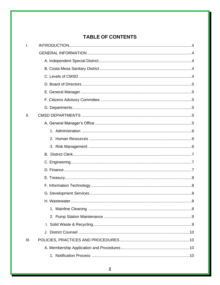### **TABLE OF CONTENTS**

| I.   |  |
|------|--|
|      |  |
|      |  |
|      |  |
|      |  |
|      |  |
|      |  |
|      |  |
|      |  |
| II.  |  |
|      |  |
|      |  |
|      |  |
|      |  |
|      |  |
|      |  |
|      |  |
|      |  |
|      |  |
|      |  |
|      |  |
|      |  |
|      |  |
|      |  |
|      |  |
| III. |  |
|      |  |
|      |  |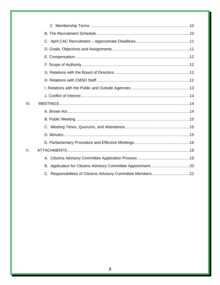| IV. |  |
|-----|--|
|     |  |
|     |  |
|     |  |
|     |  |
|     |  |
| V.  |  |
|     |  |
|     |  |
|     |  |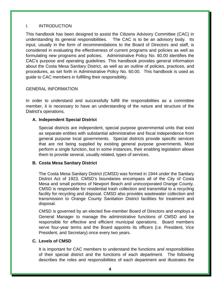#### I. INTRODUCTION

This handbook has been designed to assist the Citizens Advisory Committee (CAC) in understanding its general responsibilities. The CAC is to be an advisory body. Its input, usually in the form of recommendations to the Board of Directors and staff, is considered in evaluating the effectiveness of current programs and policies as well as formulating new programs and policies. Administrative Policy No. 60.00 identifies the CAC's purpose and operating guidelines. This handbook provides general information about the Costa Mesa Sanitary District, as well as an outline of policies, practices, and procedures, as set forth in Administrative Policy No. 60.00. This handbook is used as guide to CAC members in fulfilling their responsibility.

#### GENERAL INFORMATION

In order to understand and successfully fulfill the responsibilities as a committee member, it is necessary to have an understanding of the nature and structure of the District's operations.

#### **A. Independent Special District**

Special districts are independent, special purpose governmental units that exist as separate entities with substantial administrative and fiscal independence from general purpose local governments. Special districts provide specific services that are not being supplied by existing general purpose governments. Most perform a single function, but in some instances, their enabling legislation allows them to provide several, usually related, types of services.

#### **B. Costa Mesa Sanitary District**

The Costa Mesa Sanitary District (CMSD) was formed in 1944 under the Sanitary District Act of 1923. CMSD's boundaries encompass all of the City of Costa Mesa and small portions of Newport Beach and unincorporated Orange County. CMSD is responsible for residential trash collection and transmittal to a recycling facility for recycling and disposal. CMSD also provides wastewater collection and transmission to Orange County Sanitation District facilities for treatment and disposal.

CMSD is governed by an elected five-member Board of Directors and employs a General Manager to manage the administrative functions of CMSD and be responsible for effective and efficient municipal operations. Board members serve four-year terms and the Board appoints its officers (i.e. President, Vice President, and Secretary) once every two years.

#### **C. Levels of CMSD**

It is important for CAC members to understand the functions and responsibilities of their special district and the functions of each department. The following describes the roles and responsibilities of each department and illustrates the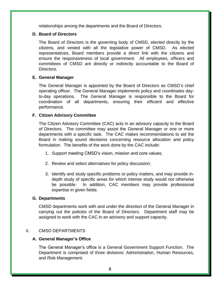relationships among the departments and the Board of Directors.

#### **D. Board of Directors**

The Board of Directors is the governing body of CMSD, elected directly by the citizens, and vested with all the legislative power of CMSD. As elected representatives, Board members provide a direct link with the citizens and ensure the responsiveness of local government. All employees, officers and committees of CMSD are directly or indirectly accountable to the Board of Directors.

#### **E. General Manager**

The General Manager is appointed by the Board of Directors as CMSD's chief operating officer. The General Manager implements policy and coordinates dayto-day operations. The General Manager is responsible to the Board for coordination of all departments, ensuring their efficient and effective performance.

#### **F. Citizen Advisory Committee**

The Citizen Advisory Committee (CAC) acts in an advisory capacity to the Board of Directors. The committee may assist the General Manager or one or more departments with a specific task. The CAC makes recommendations to aid the Board in making sound decisions concerning resource allocation and policy formulation. The benefits of the work done by the CAC include:

- 1. Support meeting CMSD's vision, mission and core values;
- 2. Review and select alternatives for policy discussion;
- 3. Identify and study specific problems or policy matters, and may provide indepth study of specific areas for which intense study would not otherwise be possible. In addition, CAC members may provide professional expertise in given fields.

#### **G. Departments**

CMSD departments work with and under the direction of the General Manager in carrying out the policies of the Board of Directors. Department staff may be assigned to work with the CAC in an advisory and support capacity.

#### II. CMSD DEPARTMENTS

#### **A. General Manager's Office**

The General Manager's office is a General Government Support Function. The Department is comprised of three divisions: Administration, Human Resources, and Risk Management.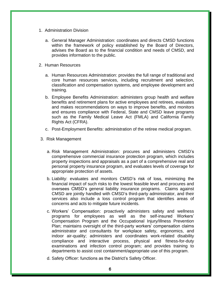- 1. Administration Division
	- a. General Manager Administration: coordinates and directs CMSD functions within the framework of policy established by the Board of Directors, advises the Board as to the financial condition and needs of CMSD, and provides information to the public.
- 2. Human Resources
	- a. Human Resources Administration: provides the full range of traditional and core human resources services, including recruitment and selection, classification and compensation systems, and employee development and training.
	- b. Employee Benefits Administration: administers group health and welfare benefits and retirement plans for active employees and retirees, evaluates and makes recommendations on ways to improve benefits, and monitors and ensures compliance with Federal, State and CMSD leave programs such as the Family Medical Leave Act (FMLA) and California Family Rights Act (CFRA).
	- c. Post-Employment Benefits: administration of the retiree medical program.
- 3. Risk Management
	- a. Risk Management Administration: procures and administers CMSD's comprehensive commercial insurance protection program, which includes property inspections and appraisals as a part of a comprehensive real and personal property insurance program, and evaluates levels of coverage for appropriate protection of assets.
	- b. Liability: evaluates and monitors CMSD's risk of loss, minimizing the financial impact of such risks to the lowest feasible level and procures and oversees CMSD's general liability insurance programs. Claims against CMSD are jointly handled with CMSD's third-party administrator, and their services also include a loss control program that identifies areas of concerns and acts to mitigate future incidents.
	- c. Workers' Compensation: proactively administers safety and wellness programs for employees as well as the self-insured Workers' Compensation Program and the Occupational Injury/Illness Prevention Plan; maintains oversight of the third-party workers' compensation claims administrator and consultants for workplace safety, ergonomics, and indoor air-quality; administers and coordinates work-related disability compliance and interactive process, physical and fitness-for-duty examinations and infection control program; and provides training to departments to assist cost containment/appropriate use of this program.
	- d. Safety Officer: functions as the District's Safety Officer.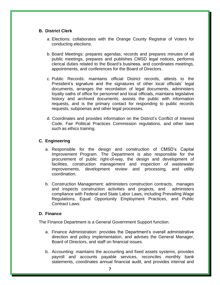#### **B. District Clerk**

- a. Elections: collaborates with the Orange County Registrar of Voters for conducting elections.
- b. Board Meetings: prepares agendas, records and prepares minutes of all public meetings, prepares and publishes CMSD legal notices, performs clerical duties related to the Board's business, and coordinates meetings, appointments, and conferences for the Board of Directors.
- c. Public Records: maintains official District records, attests to the President's signature and the signatures of other local officials' legal documents, arranges the recordation of legal documents, administers loyalty oaths of office for personnel and local officials, maintains legislative history and archived documents, assists the public with information requests, and is the primary contact for responding to public records requests, subpoenas and other legal processes.
- d. Coordinates and provides information on the District's Conflict of Interest Code, Fair Political Practices Commission regulations, and other laws such as ethics training.

#### **C. Engineering**

- a. Responsible for the design and construction of CMSD's Capital Improvement Program. The Department is also responsible for the procurement of public right-of-way, the design and development of facilities, construction management and inspection of wastewater improvements, development review and processing, and utility coordination.
- b. Construction Management: administers construction contracts, manages and inspects construction activities and projects, and administers compliance with Federal and State Labor Laws, including Prevailing Wage Regulations, Equal Opportunity Employment Practices, and Public Contract Laws.

#### **D. Finance**

The Finance Department is a General Government Support function.

- a. Finance Administration: provides the Department's overall administrative direction and policy implementation, and advises the General Manager, Board of Directors, and staff on financial issues.
- b. Accounting: maintains the accounting and fixed assets systems, provides payroll and accounts payable services, reconciles monthly bank statements, coordinates annual financial audit, and provides internal and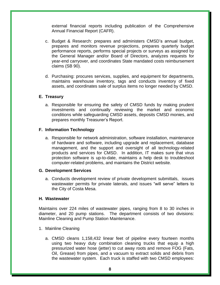external financial reports including publication of the Comprehensive Annual Financial Report (CAFR).

- c. Budget & Research: prepares and administers CMSD's annual budget, prepares and monitors revenue projections, prepares quarterly budget performance reports, performs special projects or surveys as assigned by the General Manager and/or Board of Directors, analyzes requests for year-end carryover, and coordinates State mandated costs reimbursement claims (SB 90).
- d. Purchasing: procures services, supplies, and equipment for departments, maintains warehouse inventory, tags and conducts inventory of fixed assets, and coordinates sale of surplus items no longer needed by CMSD.

#### **E. Treasury**

a. Responsible for ensuring the safety of CMSD funds by making prudent investments and continually reviewing the market and economic conditions while safeguarding CMSD assets, deposits CMSD monies, and prepares monthly Treasurer's Report.

#### **F. Information Technology**

a. Responsible for network administration, software installation, maintenance of hardware and software, including upgrade and replacement, database management, and the support and oversight of all technology-related products and services for CMSD. In addition, IT makes sure that virus protection software is up-to-date, maintains a help desk to troubleshoot computer-related problems, and maintains the District website.

#### **G. Development Services**

a. Conducts development review of private development submittals, issues wastewater permits for private laterals, and issues "will serve" letters to the City of Costa Mesa.

#### **H. Wastewater**

Maintains over 224 miles of wastewater pipes, ranging from 8 to 30 inches in diameter, and 20 pump stations. The department consists of two divisions: Mainline Cleaning and Pump Station Maintenance.

- 1. Mainline Cleaning
	- a. CMSD cleans 1,158,432 linear feet of pipeline every fourteen months using two heavy duty combination cleaning trucks that equip a high pressurized water hose (jetter) to cut away roots and remove FOG (Fats, Oil, Grease) from pipes, and a vacuum to extract solids and debris from the wastewater system. Each truck is staffed with two CMSD employees: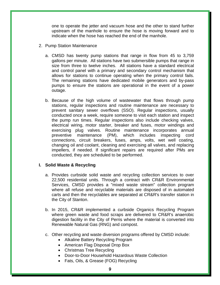one to operate the jetter and vacuum hose and the other to stand further upstream of the manhole to ensure the hose is moving forward and to indicate when the hose has reached the end of the manhole.

- 2. Pump Station Maintenance
	- a. CMSD has twenty pump stations that range in flow from 45 to 3,759 gallons per minute. All stations have two submersible pumps that range in size from three to twelve inches. All stations have a standard electrical and control panel with a primary and secondary control mechanism that allows for stations to continue operating when the primary control fails. The remaining stations have dedicated mobile generators and by-pass pumps to ensure the stations are operational in the event of a power outage.
	- b. Because of the high volume of wastewater that flows through pump stations, regular inspections and routine maintenance are necessary to prevent sanitary sewer overflows (SSO). Regular inspections, usually conducted once a week, require someone to visit each station and inspect the pump run times. Regular inspections also include checking valves, electrical wiring, motor starter, breaker and fuses, motor windings and exercising plug valves. Routine maintenance incorporates annual preventive maintenance (PM), which includes inspecting cord connections, circuit breakers, fuses, amps, volts, wet well coating, changing oil and coolant, cleaning and exercising all valves, and replacing impellers, if needed. If significant repairs are required after PMs are conducted, they are scheduled to be performed.

#### **I. Solid Waste & Recycling**

- a. Provides curbside solid waste and recycling collection services to over 22,500 residential units. Through a contract with CR&R Environmental Services, CMSD provides a "mixed waste stream" collection program where all refuse and recyclable materials are disposed of in automated carts and then the recyclables are separated at CR&R's transfer station in the City of Stanton.
- b. In 2015, CR&R implemented a curbside Organics Recycling Program where green waste and food scraps are delivered to CR&R's anaerobic digestion facility in the City of Perris where the material is converted into Renewable Natural Gas (RNG) and compost.
- c. Other recycling and waste diversion programs offered by CMSD include:
	- Alkaline Battery Recycling Program
	- American Flag Disposal Drop Box
	- Christmas Tree Recycling
	- Door-to-Door Household Hazardous Waste Collection
	- Fats, Oils, & Grease (FOG) Recycling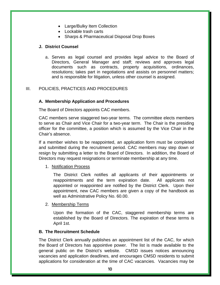- Large/Bulky Item Collection
- Lockable trash carts
- Sharps & Pharmaceutical Disposal Drop Boxes

#### **J. District Counsel**

a. Serves as legal counsel and provides legal advice to the Board of Directors, General Manager and staff; reviews and approves legal documents such as contracts, property acquisitions, ordinances, resolutions; takes part in negotiations and assists on personnel matters; and is responsible for litigation, unless other counsel is assigned.

#### III. POLICIES, PRACTICES AND PROCEDURES

#### **A. Membership Application and Procedures**

The Board of Directors appoints CAC members.

CAC members serve staggered two-year terms. The committee elects members to serve as Chair and Vice Chair for a two-year term. The Chair is the presiding officer for the committee, a position which is assumed by the Vice Chair in the Chair's absence.

If a member wishes to be reappointed, an application form must be completed and submitted during the recruitment period. CAC members may step down or resign by submitting a letter to the Board of Directors. In addition, the Board of Directors may request resignations or terminate membership at any time.

1. Notification Process

The District Clerk notifies all applicants of their appointments or reappointments and the term expiration date. All applicants not appointed or reappointed are notified by the District Clerk. Upon their appointment, new CAC members are given a copy of the handbook as well as Administrative Policy No. 60.00.

#### 2. Membership Terms

Upon the formation of the CAC, staggered membership terms are established by the Board of Directors. The expiration of these terms is April 1st.

#### **B. The Recruitment Schedule**

The District Clerk annually publishes an appointment list of the CAC, for which the Board of Directors has appointive power. The list is made available to the general public on the District's website. CMSD issues notices announcing vacancies and application deadlines, and encourages CMSD residents to submit applications for consideration at the time of CAC vacancies. Vacancies may be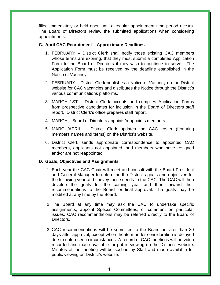filled immediately or held open until a regular appointment time period occurs. The Board of Directors review the submitted applications when considering appointments.

#### **C. April CAC Recruitment – Approximate Deadlines**

- 1. FEBRUARY District Clerk shall notify those existing CAC members whose terms are expiring, that they must submit a completed Application Form to the Board of Directors if they wish to continue to serve. The Application Form must be received by the deadline established in the Notice of Vacancy.
- 2. FEBRUARY District Clerk publishes a Notice of Vacancy on the District website for CAC vacancies and distributes the Notice through the District's various communications platforms.
- 3. MARCH 1ST District Clerk accepts and compiles Application Forms from prospective candidates for inclusion in the Board of Directors staff report. District Clerk's office prepares staff report.
- 4. MARCH Board of Directors appoints/reappoints members.
- 5. MARCH/APRIL District Clerk updates the CAC roster (featuring members names and terms) on the District's website.
- 6. District Clerk sends appropriate correspondence to appointed CAC members, applicants not appointed, and members who have resigned and/or are not reappointed.

#### **D. Goals, Objectives and Assignments**

- 1. Each year the CAC Chair will meet and consult with the Board President and General Manager to determine the District's goals and objectives for the following year and convey those needs to the CAC. The CAC will then develop the goals for the coming year and then forward their recommendations to the Board for final approval. The goals may be modified at any time by the Board.
- 2. The Board at any time may ask the CAC to undertake specific assignments, appoint Special Committees, or comment on particular issues. CAC recommendations may be referred directly to the Board of Directors.
- 3. CAC recommendations will be submitted to the Board no later than 30 days after approval, except when the item under consideration is delayed due to unforeseen circumstances. A record of CAC meetings will be video recorded and made available for public viewing on the District's website. Minutes of the meeting will be scribed by Staff and made available for public viewing on District's website.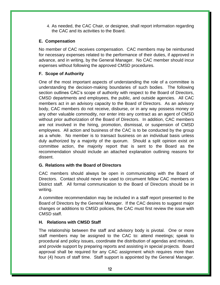4. As needed, the CAC Chair, or designee, shall report information regarding the CAC and its activities to the Board.

#### **E. Compensation**

No member of CAC receives compensation. CAC members may be reimbursed for necessary expenses related to the performance of their duties, if approved in advance, and in writing, by the General Manager. No CAC member should incur expenses without following the approved CMSD procedures.

#### **F. Scope of Authority**

One of the most important aspects of understanding the role of a committee is understanding the decision-making boundaries of such bodies. The following section outlines CAC's scope of authority with respect to the Board of Directors, CMSD departments and employees, the public, and outside agencies. All CAC members act in an advisory capacity to the Board of Directors. As an advisory body, CAC members do not receive, disburse, or in any way possess money or any other valuable commodity, nor enter into any contract as an agent of CMSD without prior authorization of the Board of Directors. In addition, CAC members are not involved in the hiring, promotion, dismissal, or suspension of CMSD employees. All action and business of the CAC is to be conducted by the group as a whole. No member is to transact business on an individual basis unless duly authorized by a majority of the quorum. Should a split opinion exist on committee action, the majority report that is sent to the Board as the recommendation should include an attached explanation outlining reasons for dissent.

#### **G. Relations with the Board of Directors**

CAC members should always be open in communicating with the Board of Directors. Contact should never be used to circumvent fellow CAC members or District staff. All formal communication to the Board of Directors should be in writing.

A committee recommendation may be included in a staff report presented to the Board of Directors by the General Manager. If the CAC desires to suggest major changes or additions to CMSD policies, the CAC must first review the issue with CMSD staff.

#### **H. Relations with CMSD Staff**

The relationship between the staff and advisory body is pivotal. One or more staff members may be assigned to the CAC to: attend meetings; speak to procedural and policy issues, coordinate the distribution of agendas and minutes, and provide support by preparing reports and assisting in special projects. Board approval shall be required for any CAC assignment which requires more than four (4) hours of staff time. Staff support is appointed by the General Manager.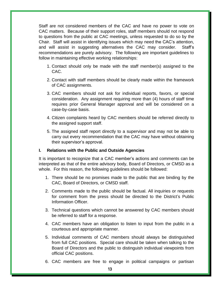Staff are not considered members of the CAC and have no power to vote on CAC matters. Because of their support roles, staff members should not respond to questions from the public at CAC meetings, unless requested to do so by the Chair. Staff will assist in identifying issues which may need the CAC's attention, and will assist in suggesting alternatives the CAC may consider. Staff's recommendations are purely advisory. The following are important guidelines to follow in maintaining effective working relationships:

- 1. Contact should only be made with the staff member(s) assigned to the CAC.
- 2. Contact with staff members should be clearly made within the framework of CAC assignments.
- 3. CAC members should not ask for individual reports, favors, or special consideration. Any assignment requiring more than (4) hours of staff time requires prior General Manager approval and will be considered on a case-by-case basis.
- 4. Citizen complaints heard by CAC members should be referred directly to the assigned support staff.
- 5. The assigned staff report directly to a supervisor and may not be able to carry out every recommendation that the CAC may have without obtaining their supervisor's approval.

#### **I. Relations with the Public and Outside Agencies**

It is important to recognize that a CAC member's actions and comments can be interpreted as that of the entire advisory body, Board of Directors, or CMSD as a whole. For this reason, the following guidelines should be followed:

- 1. There should be no promises made to the public that are binding by the CAC, Board of Directors, or CMSD staff.
- 2. Comments made to the public should be factual. All inquiries or requests for comment from the press should be directed to the District's Public Information Officer.
- 3. Technical questions which cannot be answered by CAC members should be referred to staff for a response.
- 4. CAC members have an obligation to listen to input from the public in a courteous and appropriate manner.
- 5. Individual comments of CAC members should always be distinguished from full CAC positions. Special care should be taken when talking to the Board of Directors and the public to distinguish individual viewpoints from official CAC positions.
- 6. CAC members are free to engage in political campaigns or partisan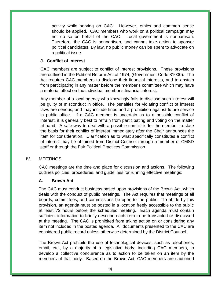activity while serving on CAC. However, ethics and common sense should be applied. CAC members who work on a political campaign may not do so on behalf of the CAC. Local government is nonpartisan. Therefore, the CAC is nonpartisan, and cannot take action to sponsor political candidates. By law, no public money can be spent to advocate on a political issue.

#### **J. Conflict of Interest**

CAC members are subject to conflict of interest provisions. These provisions are outlined in the Political Reform Act of 1974, (Government Code 81000). The Act requires CAC members to disclose their financial interests, and to abstain from participating in any matter before the member's committee which may have a material effect on the individual member's financial interest.

Any member of a local agency who knowingly fails to disclose such interest will be guilty of misconduct in office. The penalties for violating conflict of interest laws are serious, and may include fines and a prohibition against future service in public office. If a CAC member is uncertain as to a possible conflict of interest, it is generally best to refrain from participating and voting on the matter at hand. A safe way to deal with a possible conflict is for the member to state the basis for their conflict of interest immediately after the Chair announces the item for consideration. Clarification as to what specifically constitutes a conflict of interest may be obtained from District Counsel through a member of CMSD staff or through the Fair Political Practices Commission.

#### IV. MEETINGS

CAC meetings are the time and place for discussion and actions. The following outlines policies, procedures, and guidelines for running effective meetings:

#### **A. Brown Act**

The CAC must conduct business based upon provisions of the Brown Act, which deals with the conduct of public meetings. The Act requires that meetings of all boards, committees, and commissions be open to the public. To abide by this provision, an agenda must be posted in a location freely accessible to the public at least 72 hours before the scheduled meeting. Each agenda must contain sufficient information to briefly describe each item to be transacted or discussed at the meeting. The CAC is prohibited from taking action on or considering any item not included in the posted agenda. All documents presented to the CAC are considered public record unless otherwise determined by the District Counsel.

The Brown Act prohibits the use of technological devices, such as telephones, email, etc., by a majority of a legislative body, including CAC members, to develop a collective concurrence as to action to be taken on an item by the members of that body. Based on the Brown Act, CAC members are cautioned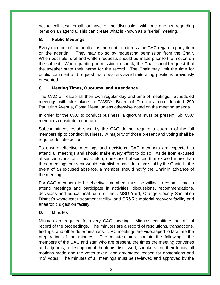not to call, text, email, or have online discussion with one another regarding items on an agenda. This can create what is known as a "serial" meeting.

#### **B. Public Meetings**

Every member of the public has the right to address the CAC regarding any item on the agenda. They may do so by requesting permission from the Chair. When possible, oral and written requests should be made prior to the motion on the subject. When granting permission to speak, the Chair should request that the speaker state their name for the record. The Chair may limit the time for public comment and request that speakers avoid reiterating positions previously presented.

#### **C. Meeting Times, Quorums, and Attendance**

The CAC will establish their own regular day and time of meetings. Scheduled meetings will take place in CMSD's Board of Directors room, located 290 Paularino Avenue, Costa Mesa, unless otherwise noted on the meeting agenda.

In order for the CAC to conduct business, a quorum must be present. Six CAC members constitute a quorum.

Subcommittees established by the CAC do not require a quorum of the full membership to conduct business. A majority of those present and voting shall be required to take action.

To ensure effective meetings and decisions, CAC members are expected to attend all meetings and should make every effort to do so. Aside from excused absences (vacation, illness, etc.), unexcused absences that exceed more than three meetings per year would establish a basis for dismissal by the Chair. In the event of an excused absence, a member should notify the Chair in advance of the meeting.

For CAC members to be effective, members must be willing to commit time to attend meetings and participate in activities, discussions, recommendations, decisions and educational tours of the CMSD Yard, Orange County Sanitation District's wastewater treatment facility, and CR&R's material recovery facility and anaerobic digestion facility.

#### **D. Minutes**

Minutes are required for every CAC meeting. Minutes constitute the official record of the proceedings. The minutes are a record of resolutions, transactions, findings, and other determinations. CAC meetings are videotaped to facilitate the preparation of the minutes. The minutes must contain the following: the members of the CAC and staff who are present, the times the meeting convenes and adjourns, a description of the items discussed, speakers and their topics, all motions made and the votes taken, and any stated reason for abstentions and "no" votes. The minutes of all meetings must be reviewed and approved by the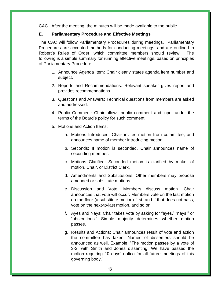CAC. After the meeting, the minutes will be made available to the public.

#### **E. Parliamentary Procedure and Effective Meetings**

The CAC will follow Parliamentary Procedures during meetings. Parliamentary Procedures are accepted methods for conducting meetings, and are outlined in Robert's Rules of Order, which committee members should review. The following is a simple summary for running effective meetings, based on principles of Parliamentary Procedure:

- 1. Announce Agenda Item: Chair clearly states agenda item number and subject.
- 2. Reports and Recommendations: Relevant speaker gives report and provides recommendations.
- 3. Questions and Answers: Technical questions from members are asked and addressed.
- 4. Public Comment: Chair allows public comment and input under the terms of the Board's policy for such comment.
- 5. Motions and Action Items:
	- a. Motions Introduced: Chair invites motion from committee, and announces name of member introducing motion.
	- b. Seconds: If motion is seconded, Chair announces name of seconding member.
	- c. Motions Clarified: Seconded motion is clarified by maker of motion, Chair, or District Clerk.
	- d. Amendments and Substitutions: Other members may propose amended or substitute motions.
	- e. Discussion and Vote: Members discuss motion. Chair announces that vote will occur. Members vote on the last motion on the floor (a substitute motion) first, and if that does not pass, vote on the next-to-last motion, and so on.
	- f. Ayes and Nays: Chair takes vote by asking for "ayes," "nays," or "abstentions." Simple majority determines whether motion passes.
	- g. Results and Actions: Chair announces result of vote and action the committee has taken. Names of dissenters should be announced as well. Example: "The motion passes by a vote of 3-2, with Smith and Jones dissenting. We have passed the motion requiring 10 days' notice for all future meetings of this governing body."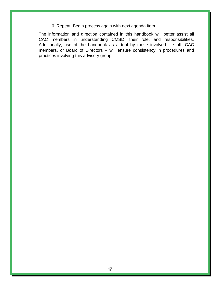6. Repeat: Begin process again with next agenda item.

The information and direction contained in this handbook will better assist all CAC members in understanding CMSD, their role, and responsibilities. Additionally, use of the handbook as a tool by those involved – staff, CAC members, or Board of Directors – will ensure consistency in procedures and practices involving this advisory group.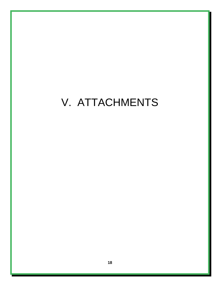# V. ATTACHMENTS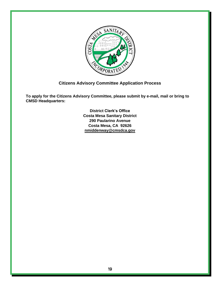

#### **Citizens Advisory Committee Application Process**

**To apply for the Citizens Advisory Committee, please submit by e-mail, mail or bring to CMSD Headquarters:**

> **District Clerk's Office Costa Mesa Sanitary District 290 Paularino Avenue Costa Mesa, CA 92626 [nmiddenway@cmsdca.gov](mailto:nmiddenway@cmsdca.gov)**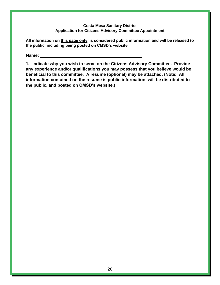#### **Costa Mesa Sanitary District Application for Citizens Advisory Committee Appointment**

**All information on this page only, is considered public information and will be released to the public, including being posted on CMSD's website.**

**Name:** 

**1. Indicate why you wish to serve on the Citizens Advisory Committee. Provide any experience and/or qualifications you may possess that you believe would be beneficial to this committee. A resume (optional) may be attached. (Note: All information contained on the resume is public information, will be distributed to the public, and posted on CMSD's website.)**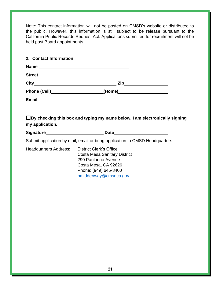Note: This contact information will not be posted on CMSD's website or distributed to the public. However, this information is still subject to be release pursuant to the California Public Records Request Act. Applications submitted for recruitment will not be held past Board appointments.

| 2. Contact Information |                                                                                                                                                                                                                                |  |
|------------------------|--------------------------------------------------------------------------------------------------------------------------------------------------------------------------------------------------------------------------------|--|
|                        |                                                                                                                                                                                                                                |  |
|                        | Street Management and the state of the state of the state of the state of the state of the state of the state of the state of the state of the state of the state of the state of the state of the state of the state of the s |  |
|                        |                                                                                                                                                                                                                                |  |
|                        | Phone (Cell)___________________________(Home)___________________________________                                                                                                                                               |  |
|                        |                                                                                                                                                                                                                                |  |
| my application.        | $\Box$ By checking this box and typing my name below, I am electronically signing                                                                                                                                              |  |
|                        |                                                                                                                                                                                                                                |  |
|                        | Submit application by mail, email or bring application to CMSD Headquarters.                                                                                                                                                   |  |
| Headquarters Address:  | <b>District Clerk's Office</b><br><b>Costa Mesa Sanitary District</b><br>290 Paularino Avenue<br>Costa Mesa, CA 92626<br>Phone: (949) 645-8400<br>nmiddenway@cmsdca.gov                                                        |  |